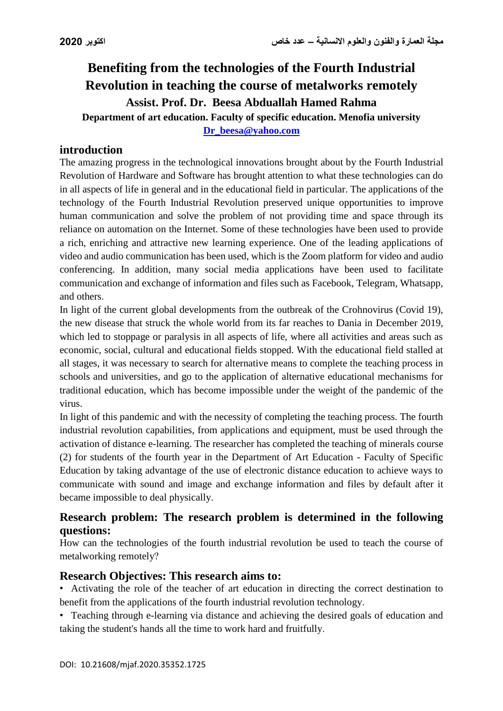# **Benefiting from the technologies of the Fourth Industrial Revolution in teaching the course of metalworks remotely Assist. Prof. Dr. Beesa Abduallah Hamed Rahma Department of art education. Faculty of specific education. Menofia university**

**[Dr\\_beesa@yahoo.com](mailto:Dr_beesa@yahoo.com)**

## **introduction**

The amazing progress in the technological innovations brought about by the Fourth Industrial Revolution of Hardware and Software has brought attention to what these technologies can do in all aspects of life in general and in the educational field in particular. The applications of the technology of the Fourth Industrial Revolution preserved unique opportunities to improve human communication and solve the problem of not providing time and space through its reliance on automation on the Internet. Some of these technologies have been used to provide a rich, enriching and attractive new learning experience. One of the leading applications of video and audio communication has been used, which is the Zoom platform for video and audio conferencing. In addition, many social media applications have been used to facilitate communication and exchange of information and files such as Facebook, Telegram, Whatsapp, and others.

In light of the current global developments from the outbreak of the Crohnovirus (Covid 19), the new disease that struck the whole world from its far reaches to Dania in December 2019, which led to stoppage or paralysis in all aspects of life, where all activities and areas such as economic, social, cultural and educational fields stopped. With the educational field stalled at all stages, it was necessary to search for alternative means to complete the teaching process in schools and universities, and go to the application of alternative educational mechanisms for traditional education, which has become impossible under the weight of the pandemic of the virus.

In light of this pandemic and with the necessity of completing the teaching process. The fourth industrial revolution capabilities, from applications and equipment, must be used through the activation of distance e-learning. The researcher has completed the teaching of minerals course (2) for students of the fourth year in the Department of Art Education - Faculty of Specific Education by taking advantage of the use of electronic distance education to achieve ways to communicate with sound and image and exchange information and files by default after it became impossible to deal physically.

## **Research problem: The research problem is determined in the following questions:**

How can the technologies of the fourth industrial revolution be used to teach the course of metalworking remotely?

## **Research Objectives: This research aims to:**

• Activating the role of the teacher of art education in directing the correct destination to benefit from the applications of the fourth industrial revolution technology.

• Teaching through e-learning via distance and achieving the desired goals of education and taking the student's hands all the time to work hard and fruitfully.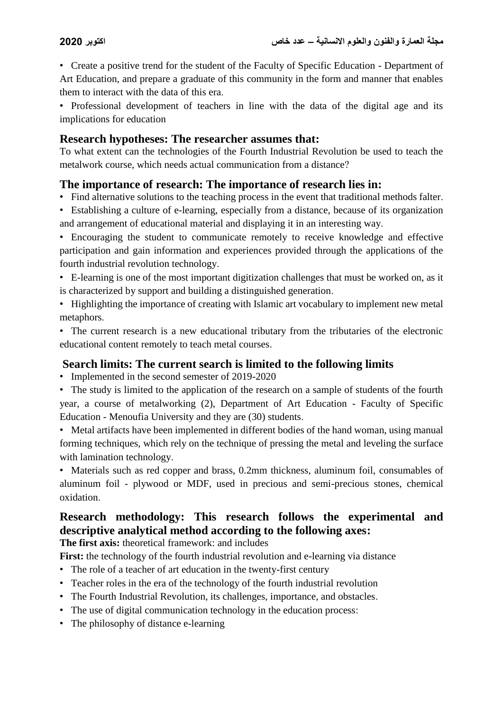• Create a positive trend for the student of the Faculty of Specific Education - Department of Art Education, and prepare a graduate of this community in the form and manner that enables them to interact with the data of this era.

• Professional development of teachers in line with the data of the digital age and its implications for education

## **Research hypotheses: The researcher assumes that:**

To what extent can the technologies of the Fourth Industrial Revolution be used to teach the metalwork course, which needs actual communication from a distance?

# **The importance of research: The importance of research lies in:**

- Find alternative solutions to the teaching process in the event that traditional methods falter.
- Establishing a culture of e-learning, especially from a distance, because of its organization and arrangement of educational material and displaying it in an interesting way.

• Encouraging the student to communicate remotely to receive knowledge and effective participation and gain information and experiences provided through the applications of the fourth industrial revolution technology.

- E-learning is one of the most important digitization challenges that must be worked on, as it is characterized by support and building a distinguished generation.
- Highlighting the importance of creating with Islamic art vocabulary to implement new metal metaphors.

• The current research is a new educational tributary from the tributaries of the electronic educational content remotely to teach metal courses.

# **Search limits: The current search is limited to the following limits**

• Implemented in the second semester of 2019-2020

• The study is limited to the application of the research on a sample of students of the fourth year, a course of metalworking (2), Department of Art Education - Faculty of Specific Education - Menoufia University and they are (30) students.

• Metal artifacts have been implemented in different bodies of the hand woman, using manual forming techniques, which rely on the technique of pressing the metal and leveling the surface with lamination technology.

• Materials such as red copper and brass, 0.2mm thickness, aluminum foil, consumables of aluminum foil - plywood or MDF, used in precious and semi-precious stones, chemical oxidation.

# **Research methodology: This research follows the experimental and descriptive analytical method according to the following axes:**

**The first axis:** theoretical framework: and includes

First: the technology of the fourth industrial revolution and e-learning via distance

- The role of a teacher of art education in the twenty-first century
- Teacher roles in the era of the technology of the fourth industrial revolution
- The Fourth Industrial Revolution, its challenges, importance, and obstacles.
- The use of digital communication technology in the education process:
- The philosophy of distance e-learning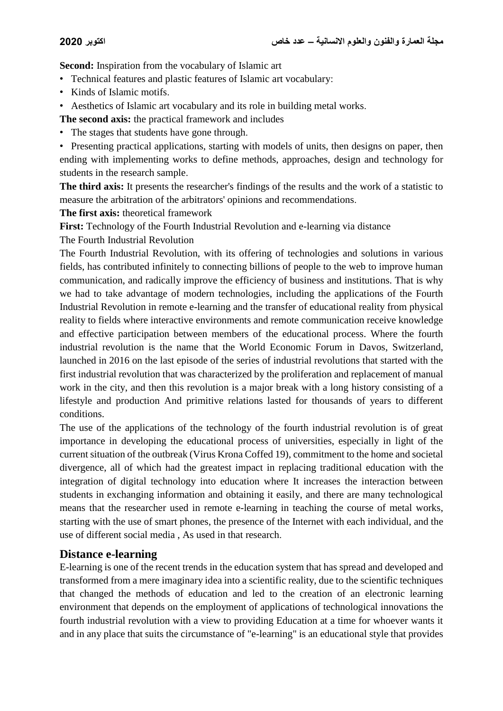**Second:** Inspiration from the vocabulary of Islamic art

- Technical features and plastic features of Islamic art vocabulary:
- Kinds of Islamic motifs.
- Aesthetics of Islamic art vocabulary and its role in building metal works.

**The second axis:** the practical framework and includes

• The stages that students have gone through.

• Presenting practical applications, starting with models of units, then designs on paper, then ending with implementing works to define methods, approaches, design and technology for students in the research sample.

**The third axis:** It presents the researcher's findings of the results and the work of a statistic to measure the arbitration of the arbitrators' opinions and recommendations.

**The first axis:** theoretical framework

**First:** Technology of the Fourth Industrial Revolution and e-learning via distance

The Fourth Industrial Revolution

The Fourth Industrial Revolution, with its offering of technologies and solutions in various fields, has contributed infinitely to connecting billions of people to the web to improve human communication, and radically improve the efficiency of business and institutions. That is why we had to take advantage of modern technologies, including the applications of the Fourth Industrial Revolution in remote e-learning and the transfer of educational reality from physical reality to fields where interactive environments and remote communication receive knowledge and effective participation between members of the educational process. Where the fourth industrial revolution is the name that the World Economic Forum in Davos, Switzerland, launched in 2016 on the last episode of the series of industrial revolutions that started with the first industrial revolution that was characterized by the proliferation and replacement of manual work in the city, and then this revolution is a major break with a long history consisting of a lifestyle and production And primitive relations lasted for thousands of years to different conditions.

The use of the applications of the technology of the fourth industrial revolution is of great importance in developing the educational process of universities, especially in light of the current situation of the outbreak (Virus Krona Coffed 19), commitment to the home and societal divergence, all of which had the greatest impact in replacing traditional education with the integration of digital technology into education where It increases the interaction between students in exchanging information and obtaining it easily, and there are many technological means that the researcher used in remote e-learning in teaching the course of metal works, starting with the use of smart phones, the presence of the Internet with each individual, and the use of different social media , As used in that research.

# **Distance e-learning**

E-learning is one of the recent trends in the education system that has spread and developed and transformed from a mere imaginary idea into a scientific reality, due to the scientific techniques that changed the methods of education and led to the creation of an electronic learning environment that depends on the employment of applications of technological innovations the fourth industrial revolution with a view to providing Education at a time for whoever wants it and in any place that suits the circumstance of "e-learning" is an educational style that provides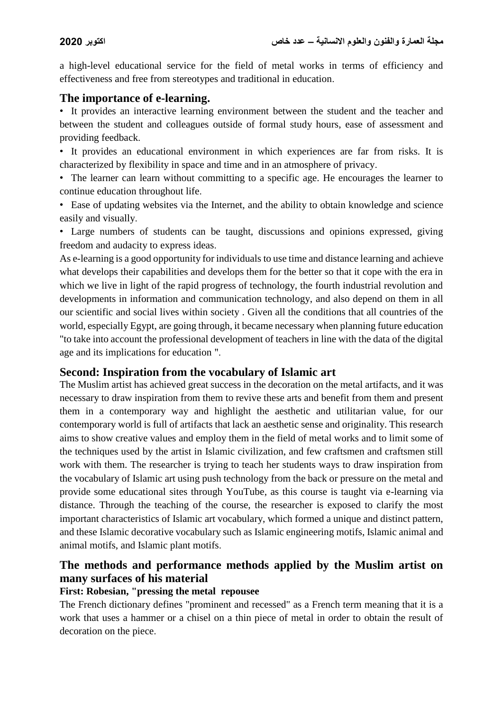a high-level educational service for the field of metal works in terms of efficiency and effectiveness and free from stereotypes and traditional in education.

# **The importance of e-learning.**

• It provides an interactive learning environment between the student and the teacher and between the student and colleagues outside of formal study hours, ease of assessment and providing feedback.

• It provides an educational environment in which experiences are far from risks. It is characterized by flexibility in space and time and in an atmosphere of privacy.

• The learner can learn without committing to a specific age. He encourages the learner to continue education throughout life.

• Ease of updating websites via the Internet, and the ability to obtain knowledge and science easily and visually.

• Large numbers of students can be taught, discussions and opinions expressed, giving freedom and audacity to express ideas.

As e-learning is a good opportunity for individuals to use time and distance learning and achieve what develops their capabilities and develops them for the better so that it cope with the era in which we live in light of the rapid progress of technology, the fourth industrial revolution and developments in information and communication technology, and also depend on them in all our scientific and social lives within society . Given all the conditions that all countries of the world, especially Egypt, are going through, it became necessary when planning future education "to take into account the professional development of teachers in line with the data of the digital age and its implications for education ".

## **Second: Inspiration from the vocabulary of Islamic art**

The Muslim artist has achieved great success in the decoration on the metal artifacts, and it was necessary to draw inspiration from them to revive these arts and benefit from them and present them in a contemporary way and highlight the aesthetic and utilitarian value, for our contemporary world is full of artifacts that lack an aesthetic sense and originality. This research aims to show creative values and employ them in the field of metal works and to limit some of the techniques used by the artist in Islamic civilization, and few craftsmen and craftsmen still work with them. The researcher is trying to teach her students ways to draw inspiration from the vocabulary of Islamic art using push technology from the back or pressure on the metal and provide some educational sites through YouTube, as this course is taught via e-learning via distance. Through the teaching of the course, the researcher is exposed to clarify the most important characteristics of Islamic art vocabulary, which formed a unique and distinct pattern, and these Islamic decorative vocabulary such as Islamic engineering motifs, Islamic animal and animal motifs, and Islamic plant motifs.

# **The methods and performance methods applied by the Muslim artist on many surfaces of his material**

## **First: Robesian, "pressing the metal repousee**

The French dictionary defines "prominent and recessed" as a French term meaning that it is a work that uses a hammer or a chisel on a thin piece of metal in order to obtain the result of decoration on the piece.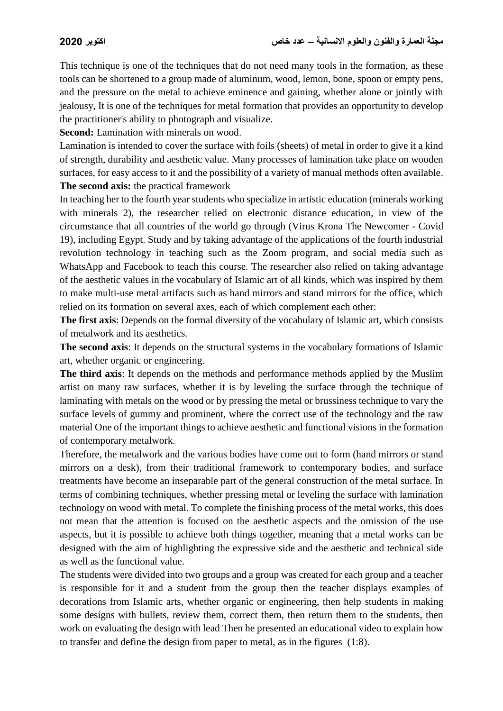This technique is one of the techniques that do not need many tools in the formation, as these tools can be shortened to a group made of aluminum, wood, lemon, bone, spoon or empty pens, and the pressure on the metal to achieve eminence and gaining, whether alone or jointly with jealousy, It is one of the techniques for metal formation that provides an opportunity to develop the practitioner's ability to photograph and visualize.

**Second:** Lamination with minerals on wood.

Lamination is intended to cover the surface with foils (sheets) of metal in order to give it a kind of strength, durability and aesthetic value. Many processes of lamination take place on wooden surfaces, for easy access to it and the possibility of a variety of manual methods often available. **The second axis:** the practical framework

In teaching her to the fourth year students who specialize in artistic education (minerals working with minerals 2), the researcher relied on electronic distance education, in view of the circumstance that all countries of the world go through (Virus Krona The Newcomer - Covid 19), including Egypt. Study and by taking advantage of the applications of the fourth industrial revolution technology in teaching such as the Zoom program, and social media such as WhatsApp and Facebook to teach this course. The researcher also relied on taking advantage of the aesthetic values in the vocabulary of Islamic art of all kinds, which was inspired by them to make multi-use metal artifacts such as hand mirrors and stand mirrors for the office, which relied on its formation on several axes, each of which complement each other:

**The first axis**: Depends on the formal diversity of the vocabulary of Islamic art, which consists of metalwork and its aesthetics.

**The second axis**: It depends on the structural systems in the vocabulary formations of Islamic art, whether organic or engineering.

**The third axis**: It depends on the methods and performance methods applied by the Muslim artist on many raw surfaces, whether it is by leveling the surface through the technique of laminating with metals on the wood or by pressing the metal or brussiness technique to vary the surface levels of gummy and prominent, where the correct use of the technology and the raw material One of the important things to achieve aesthetic and functional visions in the formation of contemporary metalwork.

Therefore, the metalwork and the various bodies have come out to form (hand mirrors or stand mirrors on a desk), from their traditional framework to contemporary bodies, and surface treatments have become an inseparable part of the general construction of the metal surface. In terms of combining techniques, whether pressing metal or leveling the surface with lamination technology on wood with metal. To complete the finishing process of the metal works, this does not mean that the attention is focused on the aesthetic aspects and the omission of the use aspects, but it is possible to achieve both things together, meaning that a metal works can be designed with the aim of highlighting the expressive side and the aesthetic and technical side as well as the functional value.

The students were divided into two groups and a group was created for each group and a teacher is responsible for it and a student from the group then the teacher displays examples of decorations from Islamic arts, whether organic or engineering, then help students in making some designs with bullets, review them, correct them, then return them to the students, then work on evaluating the design with lead Then he presented an educational video to explain how to transfer and define the design from paper to metal, as in the figures (1:8).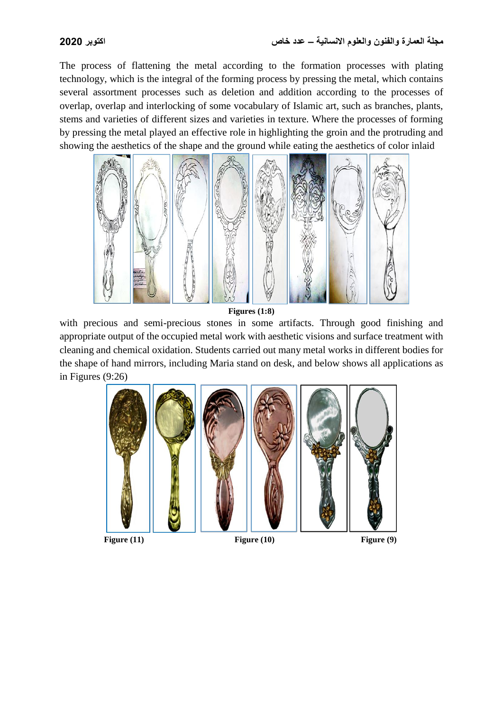The process of flattening the metal according to the formation processes with plating technology, which is the integral of the forming process by pressing the metal, which contains several assortment processes such as deletion and addition according to the processes of overlap, overlap and interlocking of some vocabulary of Islamic art, such as branches, plants, stems and varieties of different sizes and varieties in texture. Where the processes of forming by pressing the metal played an effective role in highlighting the groin and the protruding and showing the aesthetics of the shape and the ground while eating the aesthetics of color inlaid



**Figures (1:8)**

with precious and semi-precious stones in some artifacts. Through good finishing and appropriate output of the occupied metal work with aesthetic visions and surface treatment with cleaning and chemical oxidation. Students carried out many metal works in different bodies for the shape of hand mirrors, including Maria stand on desk, and below shows all applications as in Figures (9:26)

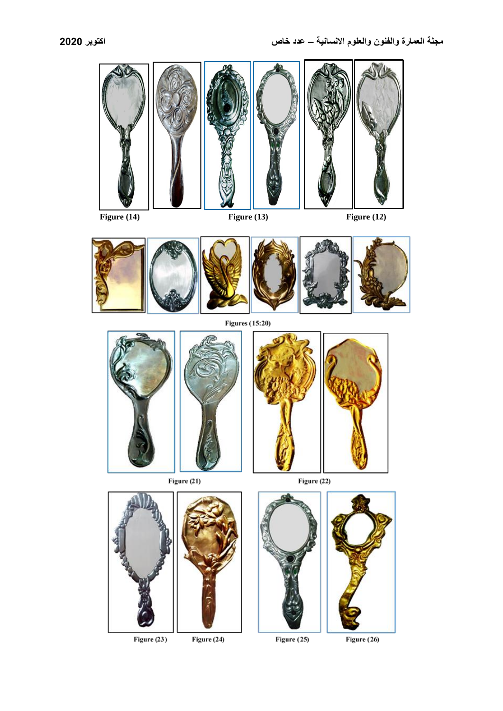



**Figures (15:20)** 



Figure (21)



Figure (22)



Figure (23)

Figure (24)



Figure (25)

Figure (26)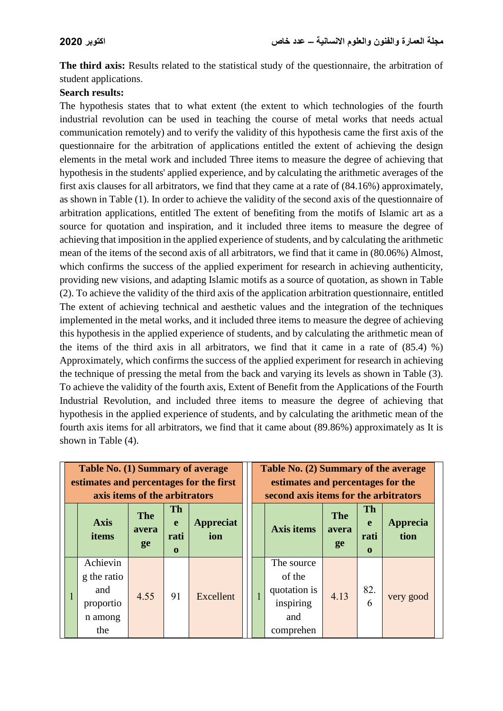**The third axis:** Results related to the statistical study of the questionnaire, the arbitration of student applications.

### **Search results:**

The hypothesis states that to what extent (the extent to which technologies of the fourth industrial revolution can be used in teaching the course of metal works that needs actual communication remotely) and to verify the validity of this hypothesis came the first axis of the questionnaire for the arbitration of applications entitled the extent of achieving the design elements in the metal work and included Three items to measure the degree of achieving that hypothesis in the students' applied experience, and by calculating the arithmetic averages of the first axis clauses for all arbitrators, we find that they came at a rate of (84.16%) approximately, as shown in Table (1). In order to achieve the validity of the second axis of the questionnaire of arbitration applications, entitled The extent of benefiting from the motifs of Islamic art as a source for quotation and inspiration, and it included three items to measure the degree of achieving that imposition in the applied experience of students, and by calculating the arithmetic mean of the items of the second axis of all arbitrators, we find that it came in (80.06%) Almost, which confirms the success of the applied experiment for research in achieving authenticity, providing new visions, and adapting Islamic motifs as a source of quotation, as shown in Table (2). To achieve the validity of the third axis of the application arbitration questionnaire, entitled The extent of achieving technical and aesthetic values and the integration of the techniques implemented in the metal works, and it included three items to measure the degree of achieving this hypothesis in the applied experience of students, and by calculating the arithmetic mean of the items of the third axis in all arbitrators, we find that it came in a rate of (85.4) %) Approximately, which confirms the success of the applied experiment for research in achieving the technique of pressing the metal from the back and varying its levels as shown in Table (3). To achieve the validity of the fourth axis, Extent of Benefit from the Applications of the Fourth Industrial Revolution, and included three items to measure the degree of achieving that hypothesis in the applied experience of students, and by calculating the arithmetic mean of the fourth axis items for all arbitrators, we find that it came about (89.86%) approximately as It is shown in Table (4).

| Table No. (1) Summary of average<br>estimates and percentages for the first<br>axis items of the arbitrators |                           |                                       |                         |  |   | Table No. (2) Summary of the average<br>estimates and percentages for the<br>second axis items for the arbitrators |                           |                                                  |                  |  |
|--------------------------------------------------------------------------------------------------------------|---------------------------|---------------------------------------|-------------------------|--|---|--------------------------------------------------------------------------------------------------------------------|---------------------------|--------------------------------------------------|------------------|--|
| <b>Axis</b><br>items                                                                                         | <b>The</b><br>avera<br>ge | <b>Th</b><br>e<br>rati<br>$\mathbf 0$ | <b>Appreciat</b><br>ion |  |   | <b>Axis items</b>                                                                                                  | <b>The</b><br>avera<br>ge | <b>Th</b><br>$\mathbf{e}$<br>rati<br>$\mathbf 0$ | Apprecia<br>tion |  |
| Achievin<br>g the ratio<br>and<br>proportio<br>n among<br>the                                                | 4.55                      | 91                                    | Excellent               |  | ı | The source<br>of the<br>quotation is<br>inspiring<br>and<br>comprehen                                              | 4.13                      | 82.<br>6                                         | very good        |  |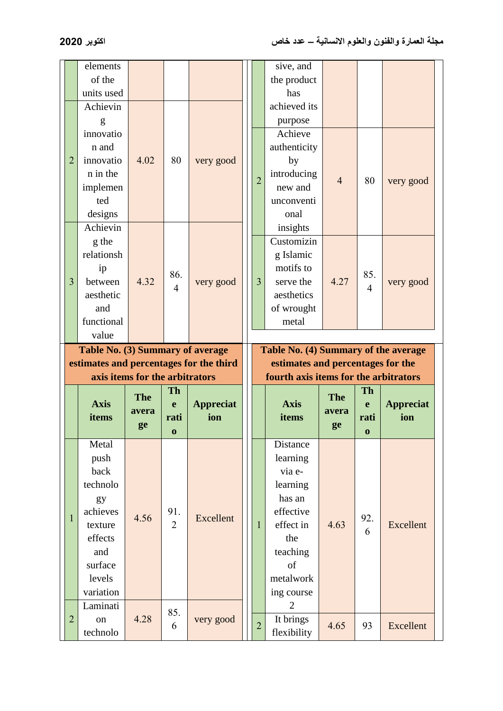|                | elements                                |            |                |                                  |                | sive, and                             |                     |                |                  |
|----------------|-----------------------------------------|------------|----------------|----------------------------------|----------------|---------------------------------------|---------------------|----------------|------------------|
|                | of the                                  |            |                |                                  |                | the product                           |                     |                |                  |
|                | units used                              |            |                |                                  |                | has                                   |                     |                |                  |
|                | Achievin                                |            |                |                                  |                | achieved its                          |                     |                |                  |
|                | g                                       |            |                |                                  |                | purpose                               |                     |                |                  |
|                | innovatio                               |            |                |                                  |                | Achieve                               |                     |                |                  |
|                | n and                                   |            |                |                                  |                | authenticity                          |                     |                |                  |
| $\overline{2}$ | innovatio                               | 4.02       | 80             | very good                        |                | by                                    |                     |                |                  |
|                | n in the                                |            |                |                                  | $\overline{2}$ | introducing                           | $\overline{4}$      | 80             |                  |
|                | implemen                                |            |                |                                  |                | new and                               |                     |                | very good        |
|                | ted                                     |            |                |                                  |                | unconventi                            |                     |                |                  |
|                | designs                                 |            |                |                                  |                | onal                                  |                     |                |                  |
|                | Achievin                                |            |                |                                  |                | insights                              |                     |                |                  |
|                | g the                                   |            |                |                                  |                | Customizin                            |                     |                |                  |
|                | relationsh                              |            |                |                                  |                | g Islamic                             |                     |                |                  |
|                | ip                                      |            | 86.            |                                  |                | motifs to                             |                     | 85.            |                  |
| 3              | between                                 | 4.32       | $\overline{4}$ | very good                        | $\overline{3}$ | serve the                             | 4.27                | $\overline{4}$ | very good        |
|                | aesthetic                               |            |                |                                  |                | aesthetics                            |                     |                |                  |
|                | and                                     |            |                |                                  |                | of wrought                            |                     |                |                  |
|                | functional                              |            |                |                                  |                | metal                                 |                     |                |                  |
|                | value                                   |            |                |                                  |                |                                       |                     |                |                  |
|                |                                         |            |                |                                  |                |                                       |                     |                |                  |
|                |                                         |            |                | Table No. (3) Summary of average |                | Table No. (4) Summary of the average  |                     |                |                  |
|                | estimates and percentages for the third |            |                |                                  |                | estimates and percentages for the     |                     |                |                  |
|                | axis items for the arbitrators          |            |                |                                  |                | fourth axis items for the arbitrators |                     |                |                  |
|                |                                         |            | <b>Th</b>      |                                  |                |                                       |                     | <b>Th</b>      |                  |
|                | <b>Axis</b>                             | <b>The</b> | e              | <b>Appreciat</b>                 |                | <b>Axis</b>                           | <b>The</b><br>avera | e              | <b>Appreciat</b> |
|                | items                                   | avera      | rati           | ion                              |                | items                                 |                     | rati           | ion              |
|                |                                         | ge         | $\bf{0}$       |                                  |                |                                       | ge                  | $\bf{0}$       |                  |
|                | Metal                                   |            |                |                                  |                | Distance                              |                     |                |                  |
|                | push                                    |            |                |                                  |                | learning                              |                     |                |                  |
|                | back                                    |            |                |                                  |                | via e-                                |                     |                |                  |
|                | technolo                                |            |                |                                  |                | learning                              |                     |                |                  |
|                | gy                                      |            |                |                                  |                | has an                                |                     |                |                  |
| $\mathbf{1}$   | achieves                                | 4.56       | 91.            | Excellent                        |                | effective                             |                     | 92.            |                  |
|                | texture                                 |            | $\overline{2}$ |                                  | $\mathbf{1}$   | effect in                             | 4.63                | 6              | Excellent        |
|                | effects                                 |            |                |                                  |                | the                                   |                     |                |                  |
|                | and                                     |            |                |                                  |                | teaching                              |                     |                |                  |
|                | surface                                 |            |                |                                  |                | of                                    |                     |                |                  |
|                | levels                                  |            |                |                                  |                | metalwork                             |                     |                |                  |
|                | variation                               |            |                |                                  |                | ing course                            |                     |                |                  |
|                | Laminati                                |            | 85.            |                                  |                | $\overline{2}$                        |                     |                |                  |
| $\overline{2}$ | on<br>technolo                          | 4.28       | 6              | very good                        | $\overline{2}$ | It brings<br>flexibility              | 4.65                | 93             | Excellent        |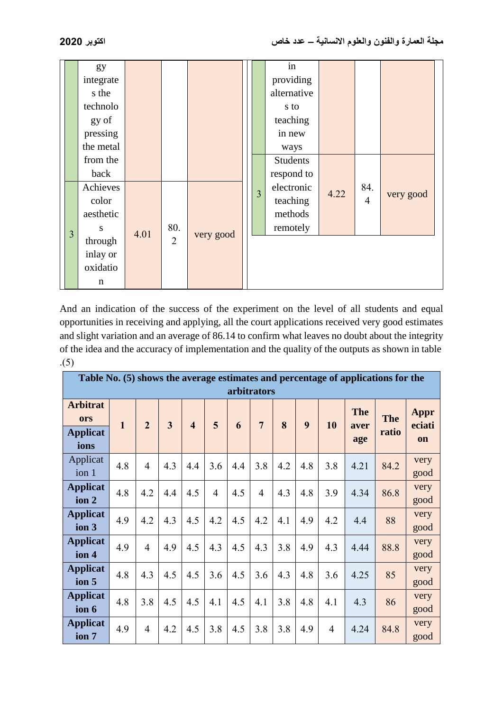|   | gy<br>integrate<br>s the<br>technolo<br>gy of<br>pressing<br>the metal |      |                |           | in<br>providing<br>alternative<br>s to<br>teaching<br>in new<br>ways |      |                       |           |
|---|------------------------------------------------------------------------|------|----------------|-----------|----------------------------------------------------------------------|------|-----------------------|-----------|
|   | from the<br>back                                                       |      |                |           | <b>Students</b><br>respond to                                        |      |                       |           |
| 3 | Achieves<br>color<br>aesthetic<br>S                                    | 4.01 | 80.            | very good | electronic<br>$\overline{3}$<br>teaching<br>methods<br>remotely      | 4.22 | 84.<br>$\overline{4}$ | very good |
|   | through<br>inlay or<br>oxidatio<br>n                                   |      | $\overline{2}$ |           |                                                                      |      |                       |           |

And an indication of the success of the experiment on the level of all students and equal opportunities in receiving and applying, all the court applications received very good estimates and slight variation and an average of 86.14 to confirm what leaves no doubt about the integrity of the idea and the accuracy of implementation and the quality of the outputs as shown in table  $(5)$ 

| Table No. (5) shows the average estimates and percentage of applications for the<br>arbitrators |              |                |                         |                         |                |     |                |     |     |     |                           |                     |                             |
|-------------------------------------------------------------------------------------------------|--------------|----------------|-------------------------|-------------------------|----------------|-----|----------------|-----|-----|-----|---------------------------|---------------------|-----------------------------|
| <b>Arbitrat</b><br>ors<br><b>Applicat</b><br>ions                                               | $\mathbf{1}$ | $\overline{2}$ | $\overline{\mathbf{3}}$ | $\overline{\mathbf{4}}$ | 5              | 6   | $\overline{7}$ | 8   | 9   | 10  | <b>The</b><br>aver<br>age | <b>The</b><br>ratio | Appr<br>eciati<br><b>on</b> |
| Applicat<br>ion 1                                                                               | 4.8          | $\overline{4}$ | 4.3                     | 4.4                     | 3.6            | 4.4 | 3.8            | 4.2 | 4.8 | 3.8 | 4.21                      | 84.2                | very<br>good                |
| <b>Applicat</b><br>ion 2                                                                        | 4.8          | 4.2            | 4.4                     | 4.5                     | $\overline{4}$ | 4.5 | $\overline{4}$ | 4.3 | 4.8 | 3.9 | 4.34                      | 86.8                | very<br>good                |
| <b>Applicat</b><br>ion 3                                                                        | 4.9          | 4.2            | 4.3                     | 4.5                     | 4.2            | 4.5 | 4.2            | 4.1 | 4.9 | 4.2 | 4.4                       | 88                  | very<br>good                |
| <b>Applicat</b><br>ion 4                                                                        | 4.9          | $\overline{4}$ | 4.9                     | 4.5                     | 4.3            | 4.5 | 4.3            | 3.8 | 4.9 | 4.3 | 4.44                      | 88.8                | very<br>good                |
| <b>Applicat</b><br>ion 5                                                                        | 4.8          | 4.3            | 4.5                     | 4.5                     | 3.6            | 4.5 | 3.6            | 4.3 | 4.8 | 3.6 | 4.25                      | 85                  | very<br>good                |
| <b>Applicat</b><br>ion 6                                                                        | 4.8          | 3.8            | 4.5                     | 4.5                     | 4.1            | 4.5 | 4.1            | 3.8 | 4.8 | 4.1 | 4.3                       | 86                  | very<br>good                |
| <b>Applicat</b><br>ion 7                                                                        | 4.9          | $\overline{4}$ | 4.2                     | 4.5                     | 3.8            | 4.5 | 3.8            | 3.8 | 4.9 | 4   | 4.24                      | 84.8                | very<br>good                |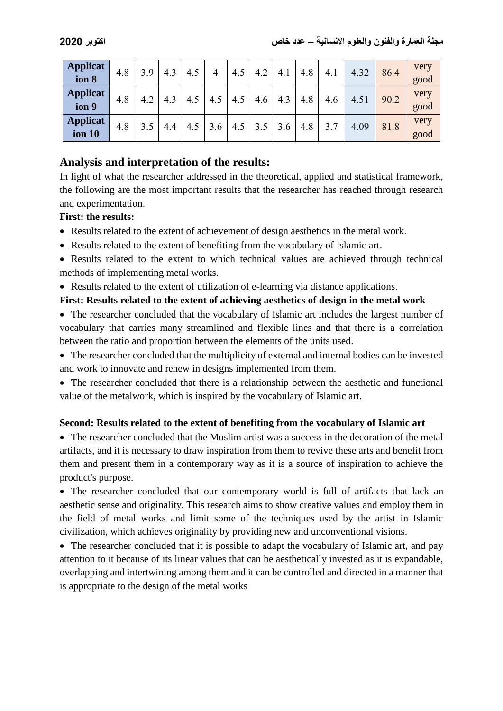| <b>Applicat</b><br>ion 8         | 4.8 | 3.9 | 4.3 | 4.5 | 4          | 4.5 | 4.2 | 4.1 | 4.8 | 4.1 | 4.32 | 86.4 | very<br>good |
|----------------------------------|-----|-----|-----|-----|------------|-----|-----|-----|-----|-----|------|------|--------------|
| <b>Applicat</b><br>ion 9         | 4.8 | 4.2 | 4.3 | 4.5 | $4_{\sim}$ | 4.5 | 4.6 | 4.3 | 4.8 | 4.6 | 4.51 | 90.2 | very<br>good |
| <b>Applicat</b><br><b>ion 10</b> | 4.8 |     | 4.4 | 4.5 | 3.6        | 4.5 | 3.5 | 3.6 | 4.8 | 3.7 | 4.09 | 81.8 | very<br>good |

# **Analysis and interpretation of the results:**

In light of what the researcher addressed in the theoretical, applied and statistical framework, the following are the most important results that the researcher has reached through research and experimentation.

## **First: the results:**

- Results related to the extent of achievement of design aesthetics in the metal work.
- Results related to the extent of benefiting from the vocabulary of Islamic art.
- Results related to the extent to which technical values are achieved through technical methods of implementing metal works.
- Results related to the extent of utilization of e-learning via distance applications.

### **First: Results related to the extent of achieving aesthetics of design in the metal work**

- The researcher concluded that the vocabulary of Islamic art includes the largest number of vocabulary that carries many streamlined and flexible lines and that there is a correlation between the ratio and proportion between the elements of the units used.
- The researcher concluded that the multiplicity of external and internal bodies can be invested and work to innovate and renew in designs implemented from them.
- The researcher concluded that there is a relationship between the aesthetic and functional value of the metalwork, which is inspired by the vocabulary of Islamic art.

#### **Second: Results related to the extent of benefiting from the vocabulary of Islamic art**

 The researcher concluded that the Muslim artist was a success in the decoration of the metal artifacts, and it is necessary to draw inspiration from them to revive these arts and benefit from them and present them in a contemporary way as it is a source of inspiration to achieve the product's purpose.

 The researcher concluded that our contemporary world is full of artifacts that lack an aesthetic sense and originality. This research aims to show creative values and employ them in the field of metal works and limit some of the techniques used by the artist in Islamic civilization, which achieves originality by providing new and unconventional visions.

• The researcher concluded that it is possible to adapt the vocabulary of Islamic art, and pay attention to it because of its linear values that can be aesthetically invested as it is expandable, overlapping and intertwining among them and it can be controlled and directed in a manner that is appropriate to the design of the metal works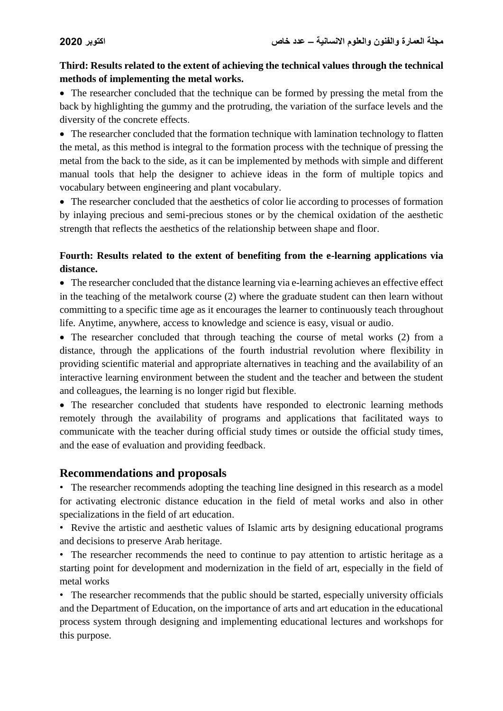## **Third: Results related to the extent of achieving the technical values through the technical methods of implementing the metal works.**

• The researcher concluded that the technique can be formed by pressing the metal from the back by highlighting the gummy and the protruding, the variation of the surface levels and the diversity of the concrete effects.

• The researcher concluded that the formation technique with lamination technology to flatten the metal, as this method is integral to the formation process with the technique of pressing the metal from the back to the side, as it can be implemented by methods with simple and different manual tools that help the designer to achieve ideas in the form of multiple topics and vocabulary between engineering and plant vocabulary.

• The researcher concluded that the aesthetics of color lie according to processes of formation by inlaying precious and semi-precious stones or by the chemical oxidation of the aesthetic strength that reflects the aesthetics of the relationship between shape and floor.

## **Fourth: Results related to the extent of benefiting from the e-learning applications via distance.**

 The researcher concluded that the distance learning via e-learning achieves an effective effect in the teaching of the metalwork course (2) where the graduate student can then learn without committing to a specific time age as it encourages the learner to continuously teach throughout life. Anytime, anywhere, access to knowledge and science is easy, visual or audio.

• The researcher concluded that through teaching the course of metal works (2) from a distance, through the applications of the fourth industrial revolution where flexibility in providing scientific material and appropriate alternatives in teaching and the availability of an interactive learning environment between the student and the teacher and between the student and colleagues, the learning is no longer rigid but flexible.

• The researcher concluded that students have responded to electronic learning methods remotely through the availability of programs and applications that facilitated ways to communicate with the teacher during official study times or outside the official study times, and the ease of evaluation and providing feedback.

# **Recommendations and proposals**

• The researcher recommends adopting the teaching line designed in this research as a model for activating electronic distance education in the field of metal works and also in other specializations in the field of art education.

• Revive the artistic and aesthetic values of Islamic arts by designing educational programs and decisions to preserve Arab heritage.

• The researcher recommends the need to continue to pay attention to artistic heritage as a starting point for development and modernization in the field of art, especially in the field of metal works

• The researcher recommends that the public should be started, especially university officials and the Department of Education, on the importance of arts and art education in the educational process system through designing and implementing educational lectures and workshops for this purpose.